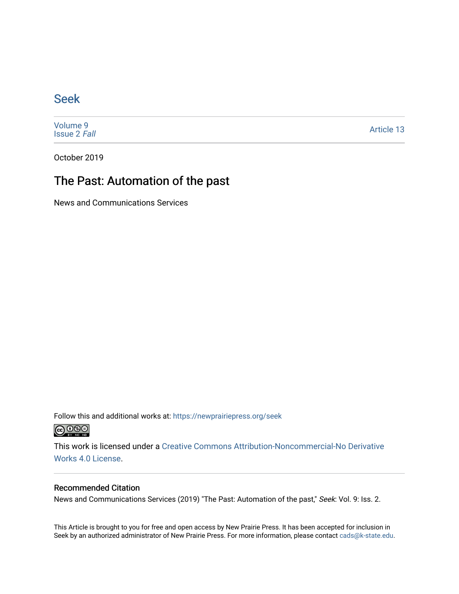### [Seek](https://newprairiepress.org/seek)

[Volume 9](https://newprairiepress.org/seek/vol9) [Issue 2](https://newprairiepress.org/seek/vol9/iss2) Fall

[Article 13](https://newprairiepress.org/seek/vol9/iss2/13) 

October 2019

## The Past: Automation of the past

News and Communications Services

Follow this and additional works at: [https://newprairiepress.org/seek](https://newprairiepress.org/seek?utm_source=newprairiepress.org%2Fseek%2Fvol9%2Fiss2%2F13&utm_medium=PDF&utm_campaign=PDFCoverPages)



This work is licensed under a [Creative Commons Attribution-Noncommercial-No Derivative](https://creativecommons.org/licenses/by-nc-nd/4.0/)  [Works 4.0 License](https://creativecommons.org/licenses/by-nc-nd/4.0/).

#### Recommended Citation

News and Communications Services (2019) "The Past: Automation of the past," Seek: Vol. 9: Iss. 2.

This Article is brought to you for free and open access by New Prairie Press. It has been accepted for inclusion in Seek by an authorized administrator of New Prairie Press. For more information, please contact [cads@k-state.edu](mailto:cads@k-state.edu).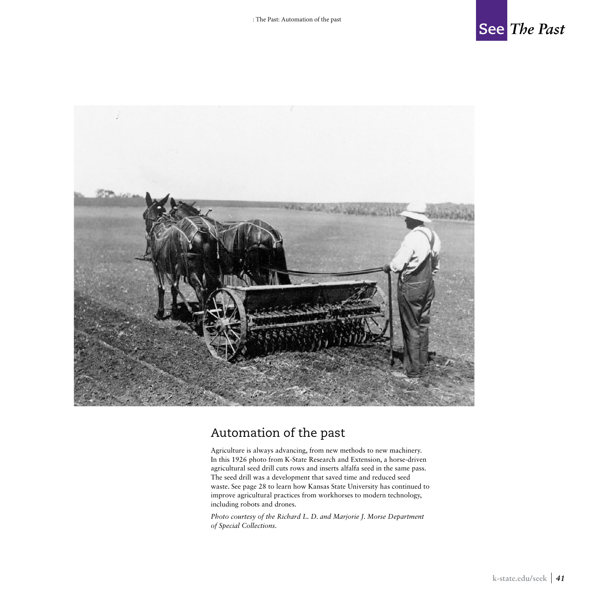



## Automation of the past

Agriculture is always advancing, from new methods to new machinery. In this 1926 photo from K-State Research and Extension, a horse-driven agricultural seed drill cuts rows and inserts alfalfa seed in the same pass. The seed drill was a development that saved time and reduced seed waste. See page 28 to learn how Kansas State University has continued to improve agricultural practices from workhorses to modern technology, including robots and drones.

*Photo courtesy of the Richard L. D. and Marjorie J. Morse Department of Special Collections.*